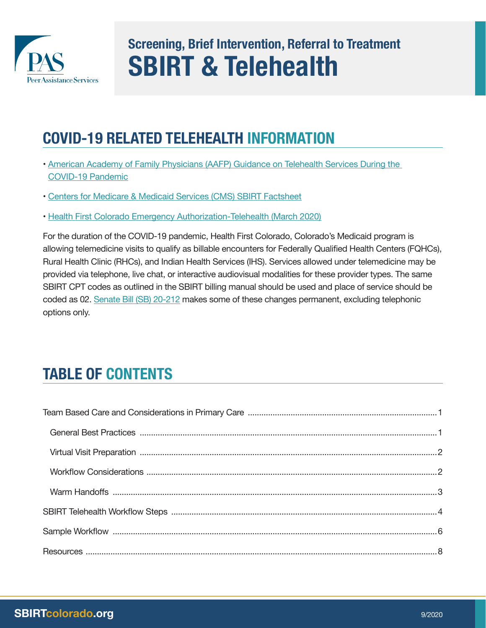

# **Screening, Brief Intervention, Referral to Treatment SBIRT & Telehealth**

# **COVID-19 RELATED TELEHEALTH INFORMATION**

- [American Academy of Family Physicians \(AAFP\) Guidance on Telehealth Services During the](https://www.aafp.org/family-physician/patient-care/current-hot-topics/recent-outbreaks/covid-19/covid-19-telehealth.html)  [COVID-19 Pandemic](https://www.aafp.org/family-physician/patient-care/current-hot-topics/recent-outbreaks/covid-19/covid-19-telehealth.html)
- [Centers for Medicare & Medicaid Services \(CMS\) SBIRT Factsheet](https://www.cms.gov/Outreach-and-Education/Medicare-Learning-Network-MLN/MLNProducts/Downloads/SBIRT_Factsheet_ICN904084.pdf)
- [Health First Colorado Emergency Authorization-Telehealth \(March 2020\)](https://www.colorado.gov/hcpf/provider-telemedicine)

For the duration of the COVID-19 pandemic, Health First Colorado, Colorado's Medicaid program is allowing telemedicine visits to qualify as billable encounters for Federally Qualified Health Centers (FQHCs), Rural Health Clinic (RHCs), and Indian Health Services (IHS). Services allowed under telemedicine may be provided via telephone, live chat, or interactive audiovisual modalities for these provider types. The same SBIRT CPT codes as outlined in the SBIRT billing manual should be used and place of service should be coded as 02. [Senate Bill \(SB\) 20-212](https://leg.colorado.gov/bills/sb20-212) makes some of these changes permanent, excluding telephonic options only.

# **TABLE OF CONTENTS**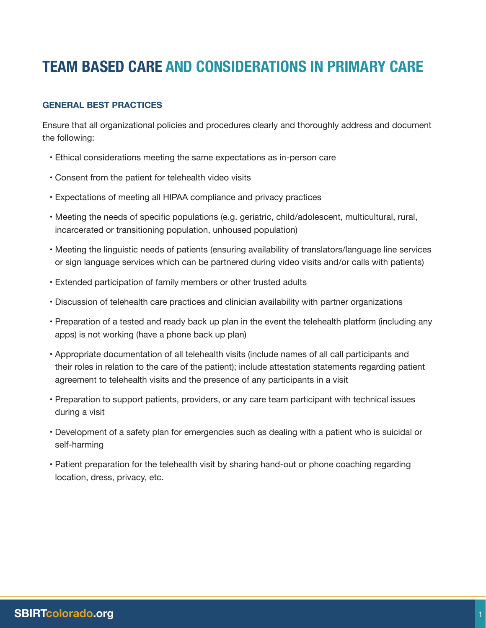# <span id="page-1-0"></span>**TEAM BASED CARE AND CONSIDERATIONS IN PRIMARY CARE**

# **GENERAL BEST PRACTICES**

Ensure that all organizational policies and procedures clearly and thoroughly address and document the following:

- Ethical considerations meeting the same expectations as in-person care
- Consent from the patient for telehealth video visits
- Expectations of meeting all HIPAA compliance and privacy practices
- Meeting the needs of specific populations (e.g. geriatric, child/adolescent, multicultural, rural, incarcerated or transitioning population, unhoused population)
- Meeting the linguistic needs of patients (ensuring availability of translators/language line services or sign language services which can be partnered during video visits and/or calls with patients)
- Extended participation of family members or other trusted adults
- Discussion of telehealth care practices and clinician availability with partner organizations
- Preparation of a tested and ready back up plan in the event the telehealth platform (including any apps) is not working (have a phone back up plan)
- Appropriate documentation of all telehealth visits (include names of all call participants and their roles in relation to the care of the patient); include attestation statements regarding patient agreement to telehealth visits and the presence of any participants in a visit
- Preparation to support patients, providers, or any care team participant with technical issues during a visit
- Development of a safety plan for emergencies such as dealing with a patient who is suicidal or self-harming
- Patient preparation for the telehealth visit by sharing hand-out or phone coaching regarding location, dress, privacy, etc.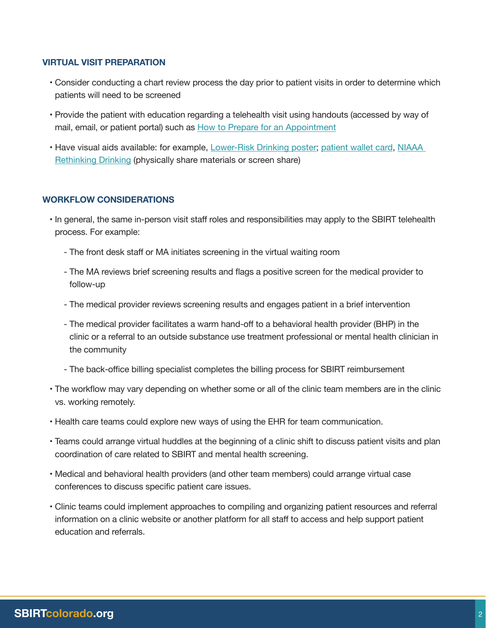### <span id="page-2-0"></span>**VIRTUAL VISIT PREPARATION**

- Consider conducting a chart review process the day prior to patient visits in order to determine which patients will need to be screened
- Provide the patient with education regarding a telehealth visit using handouts (accessed by way of mail, email, or patient portal) such as [How to Prepare for an Appointment](https://smiadviser.org/knowledge_post_fp/how-can-i-prepare-for-a-telehealth-appointment-or-video-session)
- Have visual aids available: for example, [Lower-Risk Drinking poster;](https://static1.squarespace.com/static/577554cb37c5816f7a87d32e/t/5bdc7e9c88251b491e265b1b/1541176988821/18-32546_Lower+Risk+Drink+Limits+Poster+9.2018.pdf) [patient wallet card,](https://static1.squarespace.com/static/577554cb37c5816f7a87d32e/t/5bdc7e6f4ae2376a4fc233b2/1541176943555/18-32546_WalletCard+9.2018.pdf) [NIAAA](https://www.rethinkingdrinking.niaaa.nih.gov/)  [Rethinking Drinking](https://www.rethinkingdrinking.niaaa.nih.gov/) (physically share materials or screen share)

#### **WORKFLOW CONSIDERATIONS**

- In general, the same in-person visit staff roles and responsibilities may apply to the SBIRT telehealth process. For example:
	- The front desk staff or MA initiates screening in the virtual waiting room
	- The MA reviews brief screening results and flags a positive screen for the medical provider to follow-up
	- The medical provider reviews screening results and engages patient in a brief intervention
	- The medical provider facilitates a warm hand-off to a behavioral health provider (BHP) in the clinic or a referral to an outside substance use treatment professional or mental health clinician in the community
	- The back-office billing specialist completes the billing process for SBIRT reimbursement
- The workflow may vary depending on whether some or all of the clinic team members are in the clinic vs. working remotely.
- Health care teams could explore new ways of using the EHR for team communication.
- Teams could arrange virtual huddles at the beginning of a clinic shift to discuss patient visits and plan coordination of care related to SBIRT and mental health screening.
- Medical and behavioral health providers (and other team members) could arrange virtual case conferences to discuss specific patient care issues.
- Clinic teams could implement approaches to compiling and organizing patient resources and referral information on a clinic website or another platform for all staff to access and help support patient education and referrals.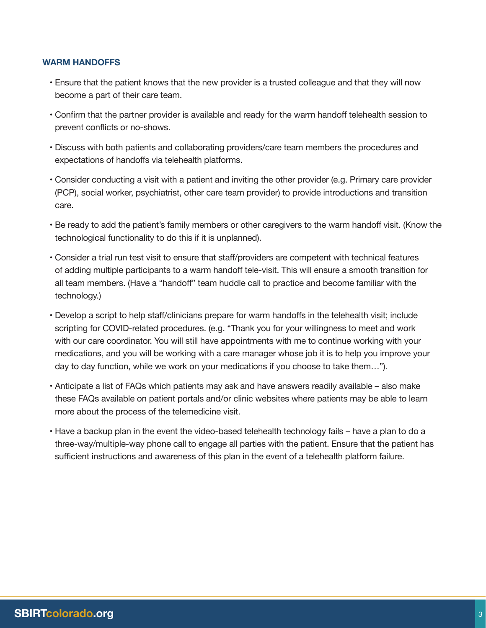## <span id="page-3-0"></span>**WARM HANDOFFS**

- Ensure that the patient knows that the new provider is a trusted colleague and that they will now become a part of their care team.
- Confirm that the partner provider is available and ready for the warm handoff telehealth session to prevent conflicts or no-shows.
- Discuss with both patients and collaborating providers/care team members the procedures and expectations of handoffs via telehealth platforms.
- Consider conducting a visit with a patient and inviting the other provider (e.g. Primary care provider (PCP), social worker, psychiatrist, other care team provider) to provide introductions and transition care.
- Be ready to add the patient's family members or other caregivers to the warm handoff visit. (Know the technological functionality to do this if it is unplanned).
- Consider a trial run test visit to ensure that staff/providers are competent with technical features of adding multiple participants to a warm handoff tele-visit. This will ensure a smooth transition for all team members. (Have a "handoff" team huddle call to practice and become familiar with the technology.)
- Develop a script to help staff/clinicians prepare for warm handoffs in the telehealth visit; include scripting for COVID-related procedures. (e.g. "Thank you for your willingness to meet and work with our care coordinator. You will still have appointments with me to continue working with your medications, and you will be working with a care manager whose job it is to help you improve your day to day function, while we work on your medications if you choose to take them…").
- Anticipate a list of FAQs which patients may ask and have answers readily available also make these FAQs available on patient portals and/or clinic websites where patients may be able to learn more about the process of the telemedicine visit.
- Have a backup plan in the event the video-based telehealth technology fails have a plan to do a three-way/multiple-way phone call to engage all parties with the patient. Ensure that the patient has sufficient instructions and awareness of this plan in the event of a telehealth platform failure.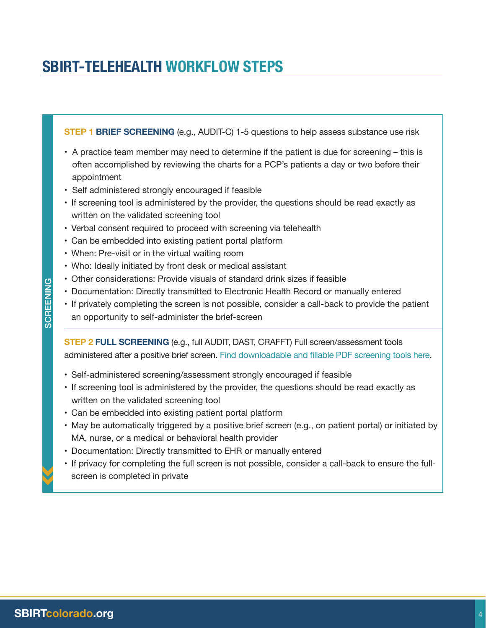# <span id="page-4-0"></span>**SBIRT-TELEHEALTH WORKFLOW STEPS**

**STEP 1 BRIEF SCREENING** (e.g., AUDIT-C) 1-5 questions to help assess substance use risk

- A practice team member may need to determine if the patient is due for screening this is often accomplished by reviewing the charts for a PCP's patients a day or two before their appointment
- Self administered strongly encouraged if feasible
- If screening tool is administered by the provider, the questions should be read exactly as written on the validated screening tool
- Verbal consent required to proceed with screening via telehealth
- Can be embedded into existing patient portal platform
- When: Pre-visit or in the virtual waiting room
- Who: Ideally initiated by front desk or medical assistant
- Other considerations: Provide visuals of standard drink sizes if feasible
- Documentation: Directly transmitted to Electronic Health Record or manually entered
- If privately completing the screen is not possible, consider a call-back to provide the patient an opportunity to self-administer the brief-screen

**STEP 2 FULL SCREENING** (e.g., full AUDIT, DAST, CRAFFT) Full screen/assessment tools administered after a positive brief screen. [Find downloadable and fillable PDF screening tools here](https://www.dropbox.com/sh/jgazqwgl4t6rpx2/AAB_vjRGPoYn9d0CNW99mh9Ba?dl=0).

- Self-administered screening/assessment strongly encouraged if feasible
- If screening tool is administered by the provider, the questions should be read exactly as written on the validated screening tool
- Can be embedded into existing patient portal platform
- May be automatically triggered by a positive brief screen (e.g., on patient portal) or initiated by MA, nurse, or a medical or behavioral health provider
- Documentation: Directly transmitted to EHR or manually entered
- If privacy for completing the full screen is not possible, consider a call-back to ensure the fullscreen is completed in private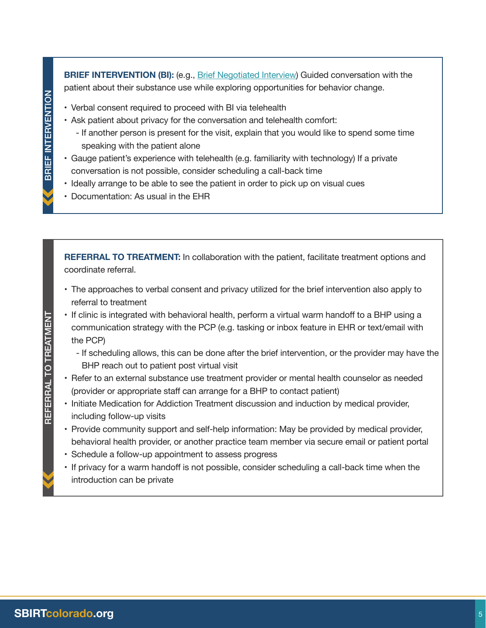**BRIEF INTERVENTION (BI): (e.g., [Brief Negotiated Interview\)](https://www.bu.edu/bniart/sbirt-in-health-care/sbirt-brief-negotiated-interview-bni/#:~:text=It%20gives%20the%20patient%20voice,all%20at%20the%20providers) Guided conversation with the** patient about their substance use while exploring opportunities for behavior change.

- Verbal consent required to proceed with BI via telehealth
- Ask patient about privacy for the conversation and telehealth comfort:
	- If another person is present for the visit, explain that you would like to spend some time speaking with the patient alone
- Gauge patient's experience with telehealth (e.g. familiarity with technology) If a private conversation is not possible, consider scheduling a call-back time
- Ideally arrange to be able to see the patient in order to pick up on visual cues
- Documentation: As usual in the EHR

**REFERRAL TO TREATMENT:** In collaboration with the patient, facilitate treatment options and coordinate referral.

- The approaches to verbal consent and privacy utilized for the brief intervention also apply to referral to treatment
- If clinic is integrated with behavioral health, perform a virtual warm handoff to a BHP using a communication strategy with the PCP (e.g. tasking or inbox feature in EHR or text/email with the PCP)
	- If scheduling allows, this can be done after the brief intervention, or the provider may have the BHP reach out to patient post virtual visit
- Refer to an external substance use treatment provider or mental health counselor as needed (provider or appropriate staff can arrange for a BHP to contact patient)
- Initiate Medication for Addiction Treatment discussion and induction by medical provider, including follow-up visits
- Provide community support and self-help information: May be provided by medical provider, behavioral health provider, or another practice team member via secure email or patient portal
- Schedule a follow-up appointment to assess progress
- If privacy for a warm handoff is not possible, consider scheduling a call-back time when the introduction can be private

REFERRAL TO TREATMENT

REFERRAL TO TREATMENT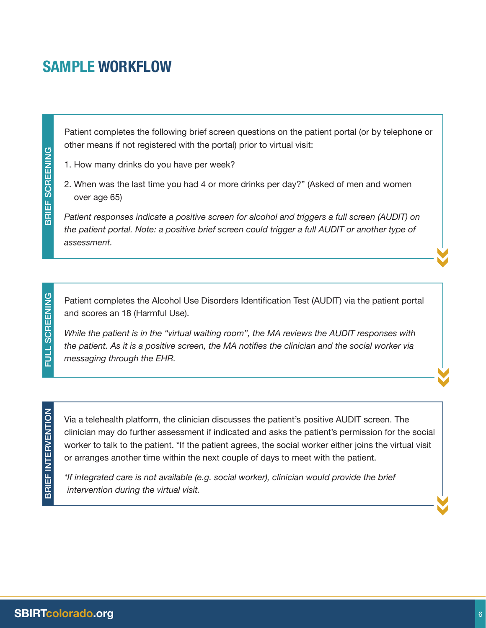<span id="page-6-0"></span>Patient completes the following brief screen questions on the patient portal (or by telephone or other means if not registered with the portal) prior to virtual visit:

1. How many drinks do you have per week?

2. When was the last time you had 4 or more drinks per day?" (Asked of men and women over age 65)

*Patient responses indicate a positive screen for alcohol and triggers a full screen (AUDIT) on the patient portal. Note: a positive brief screen could trigger a full AUDIT or another type of assessment.*

Patient completes the Alcohol Use Disorders Identification Test (AUDIT) via the patient portal and scores an 18 (Harmful Use).

*While the patient is in the "virtual waiting room", the MA reviews the AUDIT responses with the patient. As it is a positive screen, the MA notifies the clinician and the social worker via messaging through the EHR.*

FULL SCREENING

FULL SCREENING

Via a telehealth platform, the clinician discusses the patient's positive AUDIT screen. The clinician may do further assessment if indicated and asks the patient's permission for the social worker to talk to the patient. \*If the patient agrees, the social worker either joins the virtual visit or arranges another time within the next couple of days to meet with the patient.

*\*If integrated care is not available (e.g. social worker), clinician would provide the brief intervention during the virtual visit.*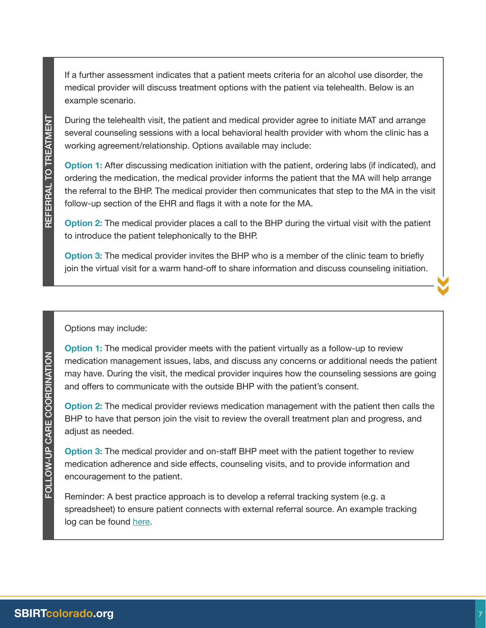If a further assessment indicates that a patient meets criteria for an alcohol use disorder, the medical provider will discuss treatment options with the patient via telehealth. Below is an example scenario.

During the telehealth visit, the patient and medical provider agree to initiate MAT and arrange several counseling sessions with a local behavioral health provider with whom the clinic has a working agreement/relationship. Options available may include:

**Option 1:** After discussing medication initiation with the patient, ordering labs (if indicated), and ordering the medication, the medical provider informs the patient that the MA will help arrange the referral to the BHP. The medical provider then communicates that step to the MA in the visit follow-up section of the EHR and flags it with a note for the MA.

**Option 2:** The medical provider places a call to the BHP during the virtual visit with the patient to introduce the patient telephonically to the BHP.

**Option 3:** The medical provider invites the BHP who is a member of the clinic team to briefly join the virtual visit for a warm hand-off to share information and discuss counseling initiation.

Options may include:

**Option 1:** The medical provider meets with the patient virtually as a follow-up to review medication management issues, labs, and discuss any concerns or additional needs the patient may have. During the visit, the medical provider inquires how the counseling sessions are going and offers to communicate with the outside BHP with the patient's consent.

**Option 2:** The medical provider reviews medication management with the patient then calls the BHP to have that person join the visit to review the overall treatment plan and progress, and adjust as needed.

**Option 3:** The medical provider and on-staff BHP meet with the patient together to review medication adherence and side effects, counseling visits, and to provide information and encouragement to the patient.

Reminder: A best practice approach is to develop a referral tracking system (e.g. a spreadsheet) to ensure patient connects with external referral source. An example tracking log can be found [here.](https://www.uhcprovider.com/content/dam/provider/docs/public/commplan/ca/binder/CA-FSR-Referral-Log.pdf)

FOLLOW-UP CARE COORDINATION

FOLLOW-UP CARE COORDINATION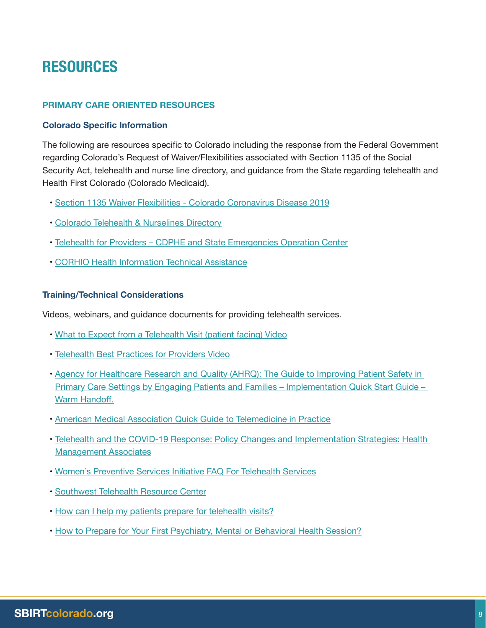# <span id="page-8-0"></span>**RESOURCES**

### **PRIMARY CARE ORIENTED RESOURCES**

#### **Colorado Specific Information**

The following are resources specific to Colorado including the response from the Federal Government regarding Colorado's Request of Waiver/Flexibilities associated with Section 1135 of the Social Security Act, telehealth and nurse line directory, and guidance from the State regarding telehealth and Health First Colorado (Colorado Medicaid).

- • [Section 1135 Waiver Flexibilities Colorado Coronavirus Disease 2019](https://www.medicaid.gov/state-resource-center/disaster-response-toolkit/federal-disaster-resources/entry/54063)
- • [Colorado Telehealth & Nurselines Directory](https://covid19.colorado.gov/telehealth-nurselines-directory)
- • [Telehealth for Providers CDPHE and State Emergencies Operation Center](https://covid19.colorado.gov/telehealth-for-providers)
- • [CORHIO Health Information Technical Assistance](https://www.corhio.org/)

#### **Training/Technical Considerations**

Videos, webinars, and guidance documents for providing telehealth services.

- • [What to Expect from a Telehealth Visit \(patient facing\) Video](https://www.youtube.com/watch?edufilter=NULL&feature=emb_logo&v=Olgs6mMXt6U)
- • [Telehealth Best Practices for Providers Video](https://www.youtube.com/watch?edufilter=NULL&feature=youtu.be&v=kdTc2Wbi_Ag )
- • [Agency for Healthcare Research and Quality \(AHRQ\): The Guide to Improving Patient Safety in](https://www.ahrq.gov/sites/default/files/wysiwyg/professionals/quality-patient-safety/patient-family-engagement/pfeprimarycare/warm-handoff-qsg-brochure.pdf)  [Primary Care Settings by Engaging Patients and Families – Implementation Quick Start Guide –](https://www.ahrq.gov/sites/default/files/wysiwyg/professionals/quality-patient-safety/patient-family-engagement/pfeprimarycare/warm-handoff-qsg-brochure.pdf)  [Warm Handoff.](https://www.ahrq.gov/sites/default/files/wysiwyg/professionals/quality-patient-safety/patient-family-engagement/pfeprimarycare/warm-handoff-qsg-brochure.pdf)
- • [American Medical Association Quick Guide to Telemedicine in Practice](https://www.ama-assn.org/practice-management/digital/ama-quick-guide-telemedicine-practice)
- • [Telehealth and the COVID-19 Response: Policy Changes and Implementation Strategies: Health](https://www.healthmanagement.com/knowledge-share/webinars/telehealth-and-the-covid-19-response-policy-changes-and-implementation-strategies/)  [Management Associates](https://www.healthmanagement.com/knowledge-share/webinars/telehealth-and-the-covid-19-response-policy-changes-and-implementation-strategies/)
- • [Women's Preventive Services Initiative FAQ For Telehealth Services](https://www.womenspreventivehealth.org/wp-content/uploads/WPSI-FAQ-FINAL.pdf)
- • [Southwest Telehealth Resource Center](https://southwesttrc.org/resources/covid19)
- • [How can I help my patients prepare for telehealth visits?](https://smiadviser.org/knowledge_post/how-can-i-help-my-patients-prepare-for-telehealth-visits)
- • [How to Prepare for Your First Psychiatry, Mental or Behavioral Health Session?](https://insighttelepsychiatry.com/resources-2/consumer-resource-center/your-first-online-appointment/)